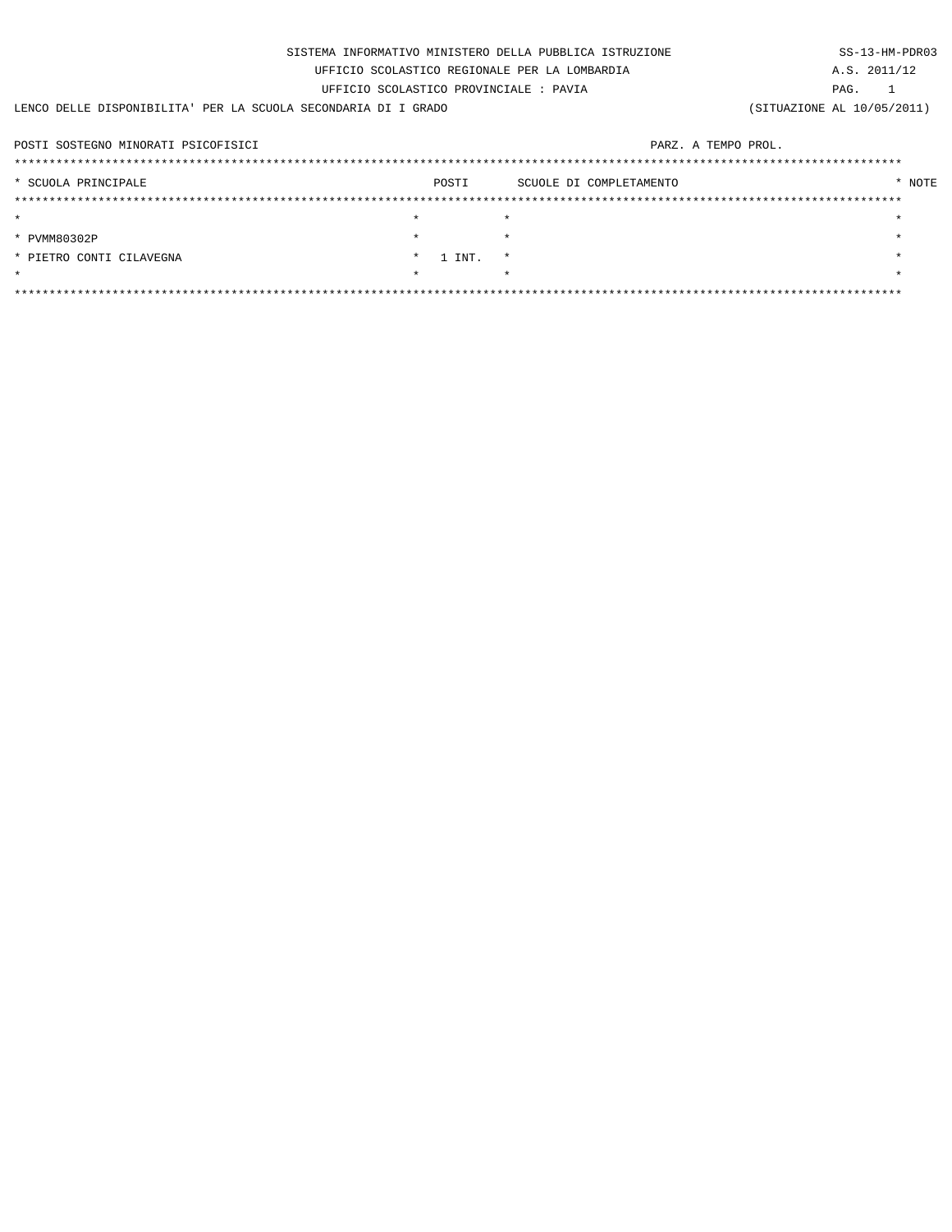| SISTEMA INFORMATIVO MINISTERO DELLA PUBBLICA ISTRUZIONE        |         |        |                         |                            |  |              | SS-13-HM-PDR03 |  |
|----------------------------------------------------------------|---------|--------|-------------------------|----------------------------|--|--------------|----------------|--|
| UFFICIO SCOLASTICO REGIONALE PER LA LOMBARDIA                  |         |        |                         |                            |  | A.S. 2011/12 |                |  |
| UFFICIO SCOLASTICO PROVINCIALE : PAVIA                         |         |        |                         |                            |  |              |                |  |
| LENCO DELLE DISPONIBILITA' PER LA SCUOLA SECONDARIA DI I GRADO |         |        |                         | (SITUAZIONE AL 10/05/2011) |  |              |                |  |
|                                                                |         |        |                         |                            |  |              |                |  |
| POSTI SOSTEGNO MINORATI PSICOFISICI                            |         |        | PARZ. A TEMPO PROL.     |                            |  |              |                |  |
|                                                                |         |        |                         |                            |  |              |                |  |
| * SCUOLA PRINCIPALE                                            |         | POSTI  | SCUOLE DI COMPLETAMENTO |                            |  | * NOTE       |                |  |
|                                                                |         |        |                         |                            |  |              |                |  |
| $\star$                                                        | $\star$ |        | $\star$                 |                            |  |              |                |  |
| * PVMM80302P                                                   | $\star$ |        |                         |                            |  |              |                |  |
| * PIETRO CONTI CILAVEGNA                                       |         | 1 INT. | $\star$                 |                            |  |              |                |  |
| $\star$                                                        | $\star$ |        |                         |                            |  |              |                |  |
|                                                                |         |        |                         |                            |  |              |                |  |
|                                                                |         |        |                         |                            |  |              |                |  |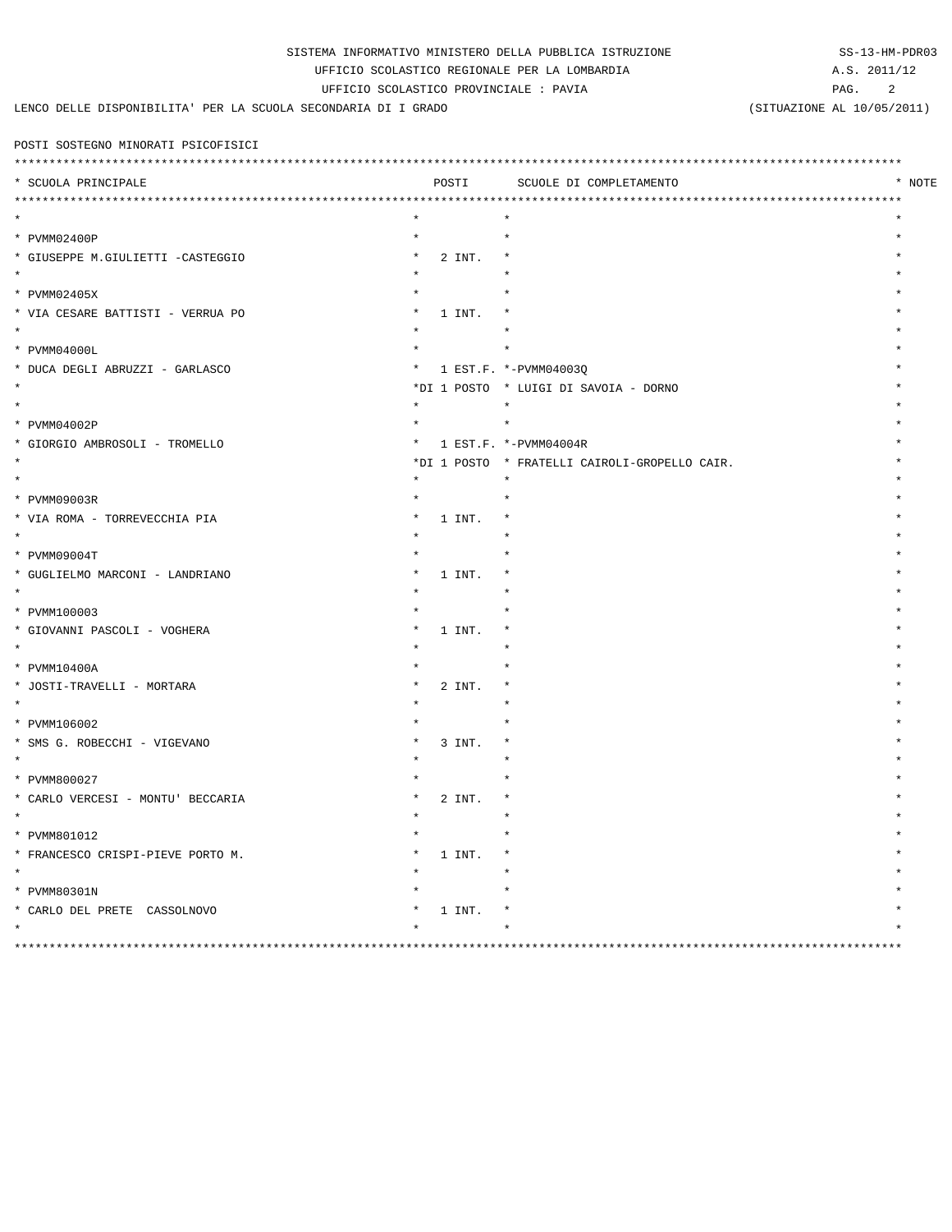|                                               |  | SISTEMA INFORMATIVO MINISTERO DELLA PUBBLICA ISTRUZIONE |
|-----------------------------------------------|--|---------------------------------------------------------|
| UFFICIO SCOLASTICO REGIONALE PER LA LOMBARDIA |  |                                                         |

UFFICIO SCOLASTICO PROVINCIALE : PAVIA

LENCO DELLE DISPONIBILITA' PER LA SCUOLA SECONDARIA DI I GRADO

SS-13-HM-PDR03 A.S. 2011/12

PAG. 2

(SITUAZIONE AL 10/05/2011)

POSTI SOSTEGNO MINORATI PSICOFISICI

| ***********************<br>**************** |         |        | ****************************                  |        |
|---------------------------------------------|---------|--------|-----------------------------------------------|--------|
| * SCUOLA PRINCIPALE                         |         | POSTI  | SCUOLE DI COMPLETAMENTO                       | * NOTE |
|                                             |         |        |                                               |        |
|                                             |         |        |                                               |        |
| * PVMM02400P                                |         |        |                                               |        |
| * GIUSEPPE M.GIULIETTI -CASTEGGIO           |         | 2 INT. |                                               |        |
|                                             |         |        |                                               |        |
| * PVMM02405X                                |         |        |                                               |        |
| * VIA CESARE BATTISTI - VERRUA PO           |         | 1 INT. |                                               |        |
| $\star$                                     |         |        |                                               |        |
| * PVMM04000L                                |         |        |                                               |        |
| * DUCA DEGLI ABRUZZI - GARLASCO             | *       |        | 1 EST.F. *-PVMM04003Q                         |        |
| $\star$                                     |         |        | *DI 1 POSTO * LUIGI DI SAVOIA - DORNO         |        |
| $\star$                                     | $\star$ |        | $\star$                                       |        |
| * PVMM04002P                                |         |        | $\star$                                       |        |
| * GIORGIO AMBROSOLI - TROMELLO              | *       |        | 1 EST.F. *-PVMM04004R                         |        |
| $\star$                                     |         |        | *DI 1 POSTO * FRATELLI CAIROLI-GROPELLO CAIR. |        |
| $\star$                                     | $\star$ |        | $\star$                                       |        |
| * PVMM09003R                                |         |        |                                               |        |
| * VIA ROMA - TORREVECCHIA PIA               |         | 1 INT. | $\star$                                       |        |
| $\star$                                     |         |        |                                               |        |
| * PVMM09004T                                |         |        |                                               |        |
| * GUGLIELMO MARCONI - LANDRIANO             |         | 1 INT. |                                               |        |
| $\star$                                     |         |        |                                               |        |
| * PVMM100003                                |         |        |                                               |        |
| * GIOVANNI PASCOLI - VOGHERA                |         | 1 INT. | $\star$                                       |        |
|                                             |         |        |                                               |        |
| * PVMM10400A                                |         |        |                                               |        |
| * JOSTI-TRAVELLI - MORTARA                  |         | 2 INT. |                                               |        |
|                                             |         |        |                                               |        |
| * PVMM106002                                |         |        |                                               |        |
| * SMS G. ROBECCHI - VIGEVANO                |         | 3 INT. |                                               |        |
| $\star$                                     |         |        |                                               |        |
| * PVMM800027                                |         |        |                                               |        |
| * CARLO VERCESI - MONTU' BECCARIA           |         | 2 INT. |                                               |        |
| $\star$                                     |         |        |                                               |        |
| * PVMM801012                                |         |        |                                               |        |
| * FRANCESCO CRISPI-PIEVE PORTO M.           |         | 1 INT. | $\ast$                                        |        |
| $\star$                                     |         |        |                                               |        |
| * PVMM80301N                                |         |        |                                               |        |
| * CARLO DEL PRETE CASSOLNOVO                |         | 1 INT. |                                               |        |
| $\star$                                     |         |        |                                               |        |
| ******<br>*****                             |         |        | *********************************             |        |